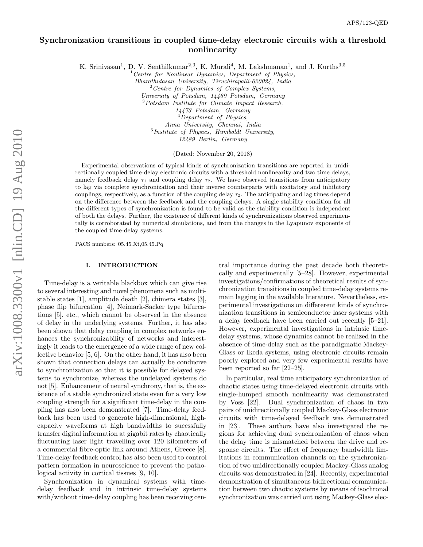# Synchronization transitions in coupled time-delay electronic circuits with a threshold nonlinearity

K. Srinivasan<sup>1</sup>, D. V. Senthilkumar<sup>2,3</sup>, K. Murali<sup>4</sup>, M. Lakshmanan<sup>1</sup>, and J. Kurths<sup>3,5</sup>

 $1$  Centre for Nonlinear Dynamics, Department of Physics, Bharathidasan University, Tiruchirapalli-620024, India <sup>2</sup> Centre for Dynamics of Complex Systems,

University of Potsdam, 14469 Potsdam, Germany

<sup>3</sup>Potsdam Institute for Climate Impact Research,

14473 Potsdam, Germany

 $<sup>4</sup> Department of Physics,$ </sup>

Anna University, Chennai, India <sup>5</sup> Institute of Physics, Humboldt University, 12489 Berlin, Germany

(Dated: November 20, 2018)

Experimental observations of typical kinds of synchronization transitions are reported in unidirectionally coupled time-delay electronic circuits with a threshold nonlinearity and two time delays, namely feedback delay  $\tau_1$  and coupling delay  $\tau_2$ . We have observed transitions from anticipatory to lag via complete synchronization and their inverse counterparts with excitatory and inhibitory couplings, respectively, as a function of the coupling delay  $\tau_2$ . The anticipating and lag times depend on the difference between the feedback and the coupling delays. A single stability condition for all the different types of synchronization is found to be valid as the stability condition is independent of both the delays. Further, the existence of different kinds of synchronizations observed experimentally is corroborated by numerical simulations, and from the changes in the Lyapunov exponents of the coupled time-delay systems.

PACS numbers: 05.45.Xt,05.45.Pq

# I. INTRODUCTION

Time-delay is a veritable blackbox which can give rise to several interesting and novel phenomena such as multistable states [1], amplitude death [2], chimera states [3], phase flip bifurcation [4], Neimark-Sacker type bifurcations [5], etc., which cannot be observed in the absence of delay in the underlying systems. Further, it has also been shown that delay coupling in complex networks enhances the synchronizability of networks and interestingly it leads to the emergence of a wide range of new collective behavior [5, 6]. On the other hand, it has also been shown that connection delays can actually be conducive to synchronization so that it is possible for delayed systems to synchronize, whereas the undelayed systems do not [5]. Enhancement of neural synchrony, that is, the existence of a stable synchronized state even for a very low coupling strength for a significant time-delay in the coupling has also been demonstrated [7]. Time-delay feedback has been used to generate high-dimensional, highcapacity waveforms at high bandwidths to sucessfully transfer digital information at gigabit rates by chaotically fluctuating laser light travelling over 120 kilometers of a commercial fibre-optic link around Athens, Greece [8]. Time-delay feedback control has also been used to control pattern formation in neuroscience to prevent the pathological activity in cortical tissues [9, 10].

Synchronization in dynamical systems with timedelay feedback and in intrinsic time-delay systems with/without time-delay coupling has been receiving central importance during the past decade both theoretically and experimentally [5–28]. However, experimental investigations/confirmations of theoretical results of synchronization transitions in coupled time-delay systems remain lagging in the available literature. Nevertheless, experimental investigations on differerent kinds of synchronization transitions in semiconductor laser systems with a delay feedback have been carried out recently [5–21]. However, experimental investigations in intrinsic timedelay systems, whose dynamics cannot be realized in the absence of time-delay such as the paradigmatic Mackey-Glass or Ikeda systems, using electronic circuits remain poorly explored and very few experimental results have been reported so far [22–25].

In particular, real time anticipatory synchronization of chaotic states using time-delayed electronic circuits with single-humped smooth nonlinearity was demonstrated by Voss [22]. Dual synchronization of chaos in two pairs of unidirectionally coupled Mackey-Glass electronic circuits with time-delayed feedback was demonstrated in [23]. These authors have also investigated the regions for achieving dual synchronization of chaos when the delay time is mismatched between the drive and response circuits. The effect of frequency bandwidth limitations in communication channels on the synchronization of two unidirectionally coupled Mackey-Glass analog circuits was demonstrated in [24]. Recently, experimental demonstration of simultaneous bidirectional communication between two chaotic systems by means of isochronal synchronization was carried out using Mackey-Glass elec-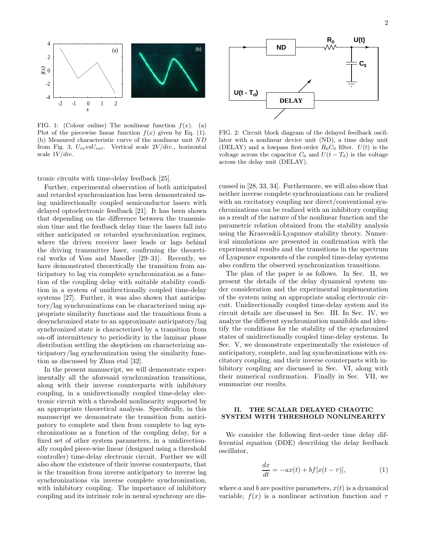

FIG. 1: (Colour online) The nonlinear function  $f(x)$ . (a) Plot of the piecewise linear function  $f(x)$  given by Eq. (1). (b) Measured characteristic curve of the nonlinear unit ND from Fig. 3,  $U_{in}$ vs $U_{out}$ . Vertical scale  $2V/div$ , horizontal scale  $1V/div$ .

tronic circuits with time-delay feedback [25].

Further, experimental observation of both anticipated and retarded synchronization has been demonstrated using unidirectionally coupled semiconductor lasers with delayed optoelectronic feedback [21]. It has been shown that depending on the difference between the transmission time and the feedback delay time the lasers fall into either anticipated or retarded synchronization regimes, where the driven receiver laser leads or lags behind the driving transmitter laser, confirming the theoretical works of Voss and Masoller [29–31]. Recently, we have demonstrated theoretically the transition from anticipatory to lag via complete synchronization as a function of the coupling delay with suitable stability condition in a system of unidirectionally coupled time-delay systems [27]. Further, it was also shown that anticipatory/lag synchronizations can be characterized using appropriate similarity functions and the transitions from a desynchronized state to an approximate anticipatory/lag synchronized state is characterized by a transition from on-off intermittency to periodicity in the laminar phase distribution settling the skepticism on characterizing anticipatory/lag synchronization using the similarity function as discussed by Zhan etal [32].

In the present manuscript, we will demonstrate experimentally all the aforesaid synchronization transitions, along with their inverse counterparts with inhibitory coupling, in a unidirectionally coupled time-delay electronic circuit with a threshold nonlinearity supported by an appropriate theoretical analysis. Specifically, in this manuscript we demonstrate the transition from anticipatory to complete and then from complete to lag synchronizations as a function of the coupling delay, for a fixed set of other system parameters, in a unidirectionally coupled piece-wise linear (designed using a threshold controller) time-delay electronic circuit. Further we will also show the existence of their inverse counterparts, that is the transition from inverse anticipatory to inverse lag synchronizations via inverse complete synchronization, with inhibitory coupling. The importance of inhibitory coupling and its intrinsic role in neural synchrony are dis-



FIG. 2: Circuit block diagram of the delayed feedback oscillator with a nonlinear device unit (ND), a time delay unit (DELAY) and a lowpass first-order  $R_0C_0$  filter.  $U(t)$  is the voltage across the capacitor  $C_0$  and  $U(t - T_d)$  is the voltage across the delay unit (DELAY).

cussed in [28, 33, 34]. Furthermore, we will also show that neither inverse complete synchronizations can be realized with an excitatory coupling nor direct/conventional synchronizations can be realized with an inhibitory coupling as a result of the nature of the nonlinear function and the parametric relation obtained from the stability analysis using the Krasvoskii-Lyapunov stability theory. Numerical simulations are presented in confirmation with the experimental results and the transitions in the spectrum of Lyapunov exponents of the coupled time-delay systems also confirm the observed synchronization transitions.

The plan of the paper is as follows. In Sec. II, we present the details of the delay dynamical system under consideration and the experimental implementation of the system using an appropriate analog electronic circuit. Unidirectionally coupled time-delay system and its circuit details are discussed in Sec. III. In Sec. IV, we analyze the different synchronization manifolds and identify the conditions for the stability of the synchronized states of unidirectionally coupled time-delay systems. In Sec. V, we demonstrate experimentally the existence of anticipatory, complete, and lag synchronizations with excitatory coupling, and their inverse counterparts with inhibitory coupling are discussed in Sec. VI, along with their numerical confirmation. Finally in Sec. VII, we summarize our results.

# II. THE SCALAR DELAYED CHAOTIC SYSTEM WITH THRESHOLD NONLINEARITY

We consider the following first-order time delay differential equation (DDE) describing the delay feedback oscillator,

$$
\frac{dx}{dt} = -ax(t) + bf[x(t-\tau)],\tag{1}
$$

where a and b are positive parameters,  $x(t)$  is a dynamical variable,  $f(x)$  is a nonlinear activation function and  $\tau$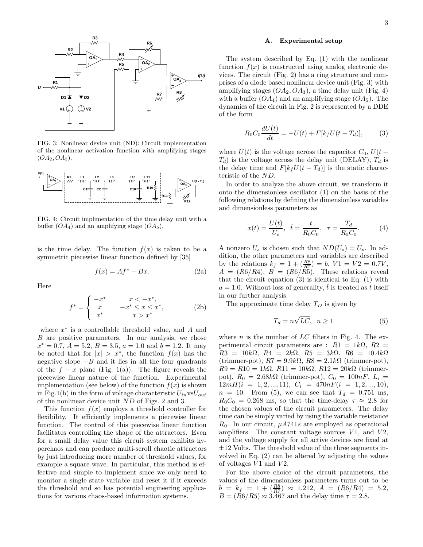

FIG. 3: Nonlinear device unit (ND): Circuit implementation of the nonlinear activation function with amplifying stages  $(OA_2, OA_3).$ 



FIG. 4: Circuit implimentation of the time delay unit with a buffer  $(OA_4)$  and an amplifying stage  $(OA_5)$ .

is the time delay. The function  $f(x)$  is taken to be a symmetric piecewise linear function defined by [35]

$$
f(x) = Af^* - Bx.
$$
 (2a)

Here

$$
f^* = \begin{cases} -x^* & x < -x^*, \\ x & -x^* \le x \le x^*, \\ x^* & x > x^* \end{cases}
$$
 (2b)

where  $x^*$  is a controllable threshold value, and  $A$  and  $B$  are positive parameters. In our analysis, we chose  $x^* = 0.7, A = 5.2, B = 3.5, a = 1.0 \text{ and } b = 1.2.$  It may be noted that for  $|x| > x^*$ , the function  $f(x)$  has the negative slope  $-B$  and it lies in all the four quadrants of the  $f - x$  plane (Fig. 1(a)). The figure reveals the piecewise linear nature of the function. Experimental implementation (see below) of the function  $f(x)$  is shown in Fig.1(b) in the form of voltage characteristic  $U_{in}$  vs $U_{out}$ of the nonlinear device unit ND of Figs. 2 and 3.

This function  $f(x)$  employs a threshold controller for flexibility. It efficiently implements a piecewise linear function. The control of this piecewise linear function facilitates controlling the shape of the attractors. Even for a small delay value this circuit system exhibits hyperchaos and can produce multi-scroll chaotic attractors by just introducing more number of threshold values, for example a square wave. In particular, this method is effective and simple to implement since we only need to monitor a single state variable and reset it if it exceeds the threshold and so has potential engineering applications for various chaos-based information systems.

### A. Experimental setup

The system described by Eq. (1) with the nonlinear function  $f(x)$  is constructed using analog electronic devices. The circuit (Fig. 2) has a ring structure and comprises of a diode based nonlinear device unit (Fig. 3) with amplifying stages  $(OA_2, OA_3)$ , a time delay unit (Fig. 4) with a buffer  $(OA_4)$  and an amplifying stage  $(OA_5)$ . The dynamics of the circuit in Fig. 2 is represented by a DDE of the form

$$
R_0 C_0 \frac{dU(t)}{dt} = -U(t) + F[k_f U(t - T_d)],
$$
 (3)

where  $U(t)$  is the voltage across the capacitor  $C_0$ ,  $U(t T_d$ ) is the voltage across the delay unit (DELAY),  $T_d$  is the delay time and  $F[k_fU(t - T_d)]$  is the static characteristic of the ND.

In order to analyze the above circuit, we transform it onto the dimensionless oscillator (1) on the basis of the following relations by defining the dimensionless variables and dimensionless parameters as

$$
x(t) = \frac{U(t)}{U_s}, \ \ \hat{t} = \frac{t}{R_0 C_0}, \ \ \tau = \frac{T_d}{R_0 C_0}.
$$
 (4)

A nonzero  $U_s$  is chosen such that  $ND(U_s) = U_s$ . In addition, the other parameters and variables are described by the relations  $k_f = 1 + (\frac{R8}{RT}) = b$ ,  $V1 = V2 = 0.7V$ ,  $A = (R6/R4), B = (R6/R5).$  These relations reveal that the circuit equation  $(3)$  is identical to Eq.  $(1)$  with  $a = 1.0$ . Without loss of generality,  $\hat{t}$  is treated as t itself in our further analysis.

The approximate time delay  $T_D$  is given by

$$
T_d = n\sqrt{LC}, \quad n \ge 1 \tag{5}
$$

where n is the number of  $LC$  filters in Fig. 4. The experimental circuit parameters are :  $R1 = 1k\Omega$ ,  $R2 =$  $R3 = 10k\Omega$ ,  $R4 = 2k\Omega$ ,  $R5 = 3k\Omega$ ,  $R6 = 10.4k\Omega$ (trimmer-pot),  $R7 = 9.9k\Omega$ ,  $R8 = 2.1k\Omega$  (trimmer-pot),  $R9 = R10 = 1k\Omega$ ,  $R11 = 10k\Omega$ ,  $R12 = 20k\Omega$  (trimmerpot),  $R_0 = 2.68k\Omega$  (trimmer-pot),  $C_0 = 100nF$ ,  $L_i =$  $12mH(i = 1, 2, ..., 11), C_i = 470nF(i = 1, 2, ..., 10),$  $n = 10$ . From (5), we can see that  $T_d = 0.751$  ms,  $R_0C_0 = 0.268$  ms, so that the time-delay  $\tau \approx 2.8$  for the chosen values of the circuit parameters. The delay time can be simply varied by using the variable resistance  $R_0$ . In our circuit,  $\mu A741s$  are employed as operational amplifiers. The constant voltage sources  $V1$ , and  $V2$ , and the voltage supply for all active devices are fixed at  $\pm 12$  Volts. The threshold value of the three segments involved in Eq. (2) can be altered by adjusting the values of voltages  $V1$  and  $V2$ .

For the above choice of the circuit parameters, the values of the dimensionless parameters turns out to be  $b = k_f = 1 + (\frac{R8}{RT}) \approx 1.212, A = (R6/R4) = 5.2,$  $B = (R6/R5) \approx 3.467$  and the delay time  $\tau = 2.8$ .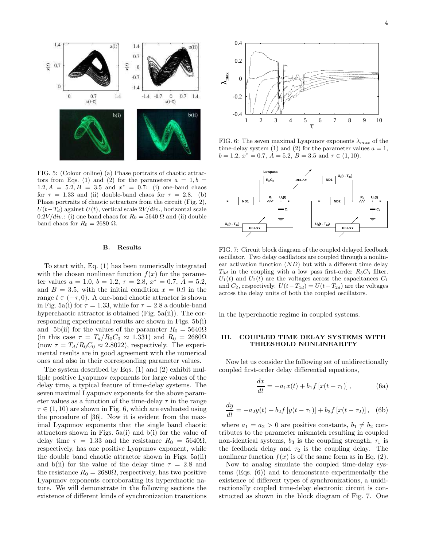

FIG. 5: (Colour online) (a) Phase portraits of chaotic attractors from Eqs. (1) and (2) for the parameters  $a = 1, b =$ 1.2,  $A = 5.\overline{2}, B = 3.5 \text{ and } x^* = 0.7:$  (i) one-band chaos for  $\tau = 1.33$  and (ii) double-band chaos for  $\tau = 2.8$ . (b) Phase portraits of chaotic attractors from the circuit (Fig. 2),  $U(t-T_d)$  against  $U(t)$ , vertical scale  $2V/div$ , horizontal scale  $0.2V/div$ : (i) one band chaos for  $R_0 = 5640 \Omega$  and (ii) double band chaos for  $R_0 = 2680 \Omega$ .

#### B. Results

To start with, Eq. (1) has been numerically integrated with the chosen nonlinear function  $f(x)$  for the parameter values  $a = 1.0, b = 1.2, \tau = 2.8, x^* = 0.7, A = 5.2,$ and  $B = 3.5$ , with the initial condition  $x = 0.9$  in the range  $t \in (-\tau, 0)$ . A one-band chaotic attractor is shown in Fig. 5a(i) for  $\tau = 1.33$ , while for  $\tau = 2.8$  a double-band hyperchaotic attractor is obtained (Fig. 5a(ii)). The corresponding experimental results are shown in Figs. 5b(i) and 5b(ii) for the values of the parameter  $R_0 = 5640\Omega$ (in this case  $\tau = T_d/R_0C_0 \approx 1.331$ ) and  $R_0 = 2680\Omega$ (now  $\tau = T_d/R_0C_0 \approx 2.8022$ ), respectively. The experimental results are in good agreement with the numerical ones and also in their corresponding parameter values.

The system described by Eqs. (1) and (2) exhibit multiple positive Lyapunov exponents for large values of the delay time, a typical feature of time-delay systems. The seven maximal Lyapunov exponents for the above parameter values as a function of the time-delay  $\tau$  in the range  $\tau \in (1, 10)$  are shown in Fig. 6, which are evaluated using the procedure of [36]. Now it is evident from the maximal Lyapunov exponents that the single band chaotic attractors shown in Figs. 5a(i) and b(i) for the value of delay time  $\tau = 1.33$  and the resistance  $R_0 = 5640\Omega$ , respectively, has one positive Lyapunov exponent, while the double band chaotic attractor shown in Figs. 5a(ii) and b(ii) for the value of the delay time  $\tau = 2.8$  and the resistance  $R_0 = 2680\Omega$ , respectively, has two positive Lyapunov exponents corroborating its hyperchaotic nature. We will demonstrate in the following sections the existence of different kinds of synchronization transitions



FIG. 6: The seven maximal Lyapunov exponents  $\lambda_{max}$  of the time-delay system (1) and (2) for the parameter values  $a = 1$ ,  $b = 1.2, x^* = 0.7, A = 5.2, B = 3.5 \text{ and } \tau \in (1, 10).$ 



FIG. 7: Circuit block diagram of the coupled delayed feedback oscillator. Two delay oscillators are coupled through a nonlinear activation function  $(ND)$  but with a different time delay  $T_{3d}$  in the coupling with a low pass first-order  $R_3C_3$  filter.  $U_1(t)$  and  $U_2(t)$  are the voltages across the capacitances  $C_1$ and  $C_2$ , respectively.  $U(t-T_{1d}) = U(t-T_{2d})$  are the voltages across the delay units of both the coupled oscillators.

in the hyperchaotic regime in coupled systems.

### III. COUPLED TIME DELAY SYSTEMS WITH THRESHOLD NONLINEARITY

Now let us consider the following set of unidirectionally coupled first-order delay differential equations,

$$
\frac{dx}{dt} = -a_1 x(t) + b_1 f [x(t - \tau_1)],
$$
 (6a)

$$
\frac{dy}{dt} = -a_2y(t) + b_2f[y(t - \tau_1)] + b_3f[x(t - \tau_2)],
$$
 (6b)

where  $a_1 = a_2 > 0$  are positive constants,  $b_1 \neq b_2$  contributes to the parameter mismatch resulting in coupled non-identical systems,  $b_3$  is the coupling strength,  $\tau_1$  is the feedback delay and  $\tau_2$  is the coupling delay. The nonlinear function  $f(x)$  is of the same form as in Eq. (2).

Now to analog simulate the coupled time-delay systems (Eqs. (6)) and to demonstrate experimentally the existence of different types of synchronizations, a unidirectionally coupled time-delay electronic circuit is constructed as shown in the block diagram of Fig. 7. One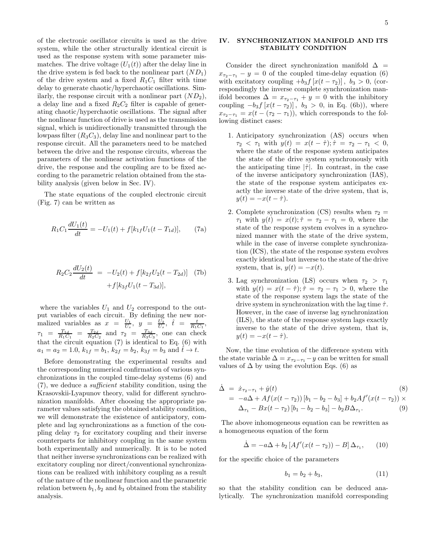of the electronic oscillator circuits is used as the drive system, while the other structurally identical circuit is used as the response system with some parameter mismatches. The drive voltage  $(U_1(t))$  after the delay line in the drive system is fed back to the nonlinear part  $(ND_1)$ of the drive system and a fixed  $R_1C_1$  filter with time delay to generate chaotic/hyperchaotic oscillations. Similarly, the response circuit with a nonlinear part  $(ND_2)$ , a delay line and a fixed  $R_2C_2$  filter is capable of generating chaotic/hyperchaotic oscillations. The signal after the nonlinear function of drive is used as the transmission signal, which is unidirectionally transmitted through the lowpass filter  $(R_3C_3)$ , delay line and nonlinear part to the response circuit. All the parameters need to be matched between the drive and the response circuits, whereas the parameters of the nonlinear activation functions of the drive, the response and the coupling are to be fixed according to the parametric relation obtained from the stability analysis (given below in Sec. IV).

The state equations of the coupled electronic circuit (Fig. 7) can be written as

$$
R_1 C_1 \frac{dU_1(t)}{dt} = -U_1(t) + f[k_{1f}U_1(t - T_{1d})], \qquad (7a)
$$

$$
R_2 C_2 \frac{dU_2(t)}{dt} = -U_2(t) + f[k_2tU_2(t - T_{2d})] \quad (7b)
$$

$$
+ f[k_3tU_1(t - T_{3d})],
$$

where the variables  $U_1$  and  $U_2$  correspond to the output variables of each circuit. By defining the new normalized variables as  $x = \frac{U_1}{U_s}$ ,  $y = \frac{U_2}{U_s}$ ,  $\hat{t} = \frac{t}{R_1 C_1}$ ,  $\tau_1 = \frac{T_{1d}}{R_1 C_1} = \frac{T_{2d}}{R_2 C_2}$  and  $\tau_2 = \frac{T_{3d}}{R_3 C_3}$ , one can check that the circuit equation (7) is identical to Eq. (6) with  $a_1 = a_2 = 1.0, k_{1f} = b_1, k_{2f} = b_2, k_{3f} = b_3$  and  $\hat{t} \to t$ .

Before demonstrating the experimental results and the corresponding numerical confirmation of various synchronizations in the coupled time-delay systems (6) and (7), we deduce a sufficient stability condition, using the Krasovskii-Lyapunov theory, valid for different synchronization manifolds. After choosing the appropriate parameter values satisfying the obtained stability condition, we will demonstrate the existence of anticipatory, complete and lag synchronizations as a function of the coupling delay  $\tau_2$  for excitatory coupling and their inverse counterparts for inhibitory coupling in the same system both experimentally and numerically. It is to be noted that neither inverse synchronizations can be realized with excitatory coupling nor direct/conventional synchronizations can be realized with inhibitory coupling as a result of the nature of the nonlinear function and the parametric relation between  $b_1, b_2$  and  $b_3$  obtained from the stability analysis.

# IV. SYNCHRONIZATION MANIFOLD AND ITS STABILITY CONDITION

Consider the direct synchronization manifold  $\Delta$  =  $x_{\tau_2-\tau_1} - y = 0$  of the coupled time-delay equation (6) with excitatory coupling  $+b_3f[x(t - \tau_2)]$ ,  $b_3 > 0$ , (correspondingly the inverse complete synchronization manifold becomes  $\Delta = x_{\tau_2-\tau_1} + y = 0$  with the inhibitory coupling  $-b_3f[x(t - \tau_2)], b_3 > 0$ , in Eq. (6b)), where  $x_{\tau_2-\tau_1} = x(t - (\tau_2 - \tau_1))$ , which corresponds to the following distinct cases:

- 1. Anticipatory synchronization (AS) occurs when  $\tau_2 < \tau_1$  with  $y(t) = x(t - \hat{\tau}); \hat{\tau} = \tau_2 - \tau_1 < 0,$ where the state of the response system anticipates the state of the drive system synchronously with the anticipating time  $|\hat{\tau}|$ . In contrast, in the case of the inverse anticipatory synchronization (IAS), the state of the response system anticipates exactly the inverse state of the drive system, that is,  $y(t) = -x(t - \hat{\tau}).$
- 2. Complete synchronization (CS) results when  $\tau_2$  =  $\tau_1$  with  $y(t) = x(t); \hat{\tau} = \tau_2 - \tau_1 = 0$ , where the state of the response system evolves in a synchronized manner with the state of the drive system, while in the case of inverse complete synchronization (ICS), the state of the response system evolves exactly identical but inverse to the state of the drive system, that is,  $y(t) = -x(t)$ .
- 3. Lag synchronization (LS) occurs when  $\tau_2 > \tau_1$ with  $y(t) = x(t - \hat{\tau}); \hat{\tau} = \tau_2 - \tau_1 > 0$ , where the state of the response system lags the state of the drive system in synchronization with the lag time  $\hat{\tau}$ . However, in the case of inverse lag synchronization (ILS), the state of the response system lags exactly inverse to the state of the drive system, that is,  $y(t) = -x(t - \hat{\tau}).$

Now, the time evolution of the difference system with the state variable  $\Delta = x_{\tau_2-\tau_1} - y$  can be written for small values of  $\Delta$  by using the evolution Eqs. (6) as

$$
\begin{aligned}\n\dot{\Delta} &= \dot{x}_{\tau_2 - \tau_1} + \dot{y}(t) \tag{8} \\
&= -a\Delta + Af(x(t - \tau_2)) \left[ b_1 - b_2 - b_3 \right] + b_2 A f'(x(t - \tau_2)) \times \\
\Delta_{\tau_1} - Bx(t - \tau_2) \left[ b_1 - b_2 - b_3 \right] - b_2 B \Delta_{\tau_1}.\n\end{aligned}
$$

The above inhomogeneous equation can be rewritten as a homogeneous equation of the form

$$
\dot{\Delta} = -a\Delta + b_2 \left[ Af'(x(t - \tau_2)) - B\right] \Delta_{\tau_1}, \qquad (10)
$$

for the specific choice of the parameters

$$
b_1 = b_2 + b_3,\t\t(11)
$$

so that the stability condition can be deduced analytically. The synchronization manifold corresponding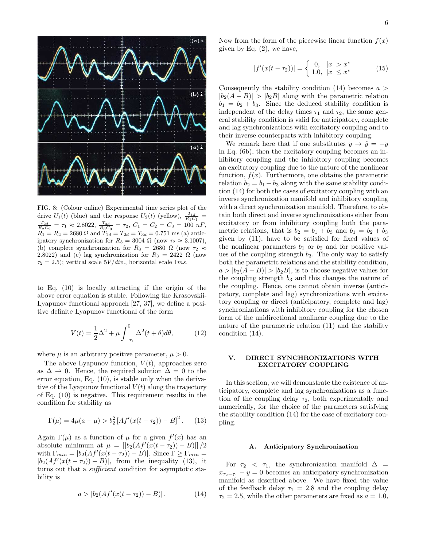

FIG. 8: (Colour online) Experimental time series plot of the drive  $U_1(t)$  (blue) and the response  $U_2(t)$  (yellow),  $\frac{T_{1d}}{R_1C_1}$  =  $\frac{T_{2d}}{R_2C_2} = \tau_1 \approx 2.8022$ ,  $\frac{T_{3d}}{R_3C_3} = \tau_2$ ,  $C_1 = C_2 = C_3 = 100 nF$ ,  $R_1 = R_2 = 2680 \Omega$  and  $T_{1d} = T_{2d} = T_{3d} = 0.751$  ms (a) anticipatory synchronization for  $R_3 = 3004 \Omega$  (now  $\tau_2 \approx 3.1007$ ), (b) complete synchronization for  $R_3 = 2680 \Omega$  (now  $\tau_2 \approx$ 2.8022) and (c) lag synchronization for  $R_3 = 2422 \Omega$  (now  $\tau_2 = 2.5$ ; vertical scale  $5V/div$ , horizontal scale  $1ms$ .

to Eq. (10) is locally attracting if the origin of the above error equation is stable. Following the Krasovskii-Lyapunov functional approach [27, 37], we define a positive definite Lyapunov functional of the form

$$
V(t) = \frac{1}{2}\Delta^2 + \mu \int_{-\tau_1}^0 \Delta^2(t+\theta)d\theta, \tag{12}
$$

where  $\mu$  is an arbitrary positive parameter,  $\mu > 0$ .

The above Lyapunov function,  $V(t)$ , approaches zero as  $\Delta \rightarrow 0$ . Hence, the required solution  $\Delta = 0$  to the error equation, Eq. (10), is stable only when the derivative of the Lyapunov functional  $V(t)$  along the trajectory of Eq. (10) is negative. This requirement results in the condition for stability as

$$
\Gamma(\mu) = 4\mu(a - \mu) > b_2^2 \left[ A f'(x(t - \tau_2)) - B \right]^2.
$$
 (13)

Again  $\Gamma(\mu)$  as a function of  $\mu$  for a given  $f'(x)$  has an absolute minimum at  $\mu = [[b_2(Af'(\tilde{x}(t-\tau_2)) - B)]]/2$ with  $\Gamma_{min} = |b_2(Af'(x(t-\tau_2)) - B)|$ . Since  $\Gamma \geq \Gamma_{min} =$  $|b_2(Af'(x(t - \tau_2)) - B)|$ , from the inequality (13), it turns out that a *sufficient* condition for asymptotic stability is

$$
a > |b_2(Af'(x(t - \tau_2)) - B)|.
$$
 (14)

Now from the form of the piecewise linear function  $f(x)$ given by Eq. (2), we have,

$$
|f'(x(t - \tau_2))| = \begin{cases} 0, & |x| > x^* \\ 1.0, & |x| \le x^* \end{cases}
$$
 (15)

Consequently the stability condition (14) becomes  $a >$  $|b_2(A - B)| > |b_2B|$  along with the parametric relation  $b_1 = b_2 + b_3$ . Since the deduced stability condition is independent of the delay times  $\tau_1$  and  $\tau_2$ , the same general stability condition is valid for anticipatory, complete and lag synchronizations with excitatory coupling and to their inverse counterparts with inhibitory coupling.

We remark here that if one substitutes  $y \to \hat{y} = -y$ in Eq. (6b), then the excitatory coupling becomes an inhibitory coupling and the inhibitory coupling becomes an excitatory coupling due to the nature of the nonlinear function,  $f(x)$ . Furthermore, one obtains the parametric relation  $b_2 = b_1 + b_3$  along with the same stability condition (14) for both the cases of excitatory coupling with an inverse synchronization manifold and inhibitory coupling with a direct synchronization manifold. Therefore, to obtain both direct and inverse synchronizations either from excitatory or from inhibitory coupling both the parametric relations, that is  $b_2 = b_1 + b_3$  and  $b_1 = b_2 + b_3$ given by (11), have to be satisfied for fixed values of the nonlinear parameters  $b_1$  or  $b_2$  and for positive values of the coupling strength  $b_3$ . The only way to satisfy both the parametric relations and the stability condition,  $a > |b_2(A - B)| > |b_2B|$ , is to choose negative values for the coupling strength  $b_3$  and this changes the nature of the coupling. Hence, one cannot obtain inverse (anticipatory, complete and lag) synchronizations with excitatory coupling or direct (anticipatory, complete and lag) synchronizations with inhibitory coupling for the chosen form of the unidirectional nonlinear coupling due to the nature of the parametric relation (11) and the stability condition (14).

# V. DIRECT SYNCHRONIZATIONS WITH EXCITATORY COUPLING

In this section, we will demonstrate the existence of anticipatory, complete and lag synchronizations as a function of the coupling delay  $\tau_2$ , both experimentally and numerically, for the choice of the parameters satisfying the stability condition (14) for the case of excitatory coupling.

### A. Anticipatory Synchronization

For  $\tau_2$  <  $\tau_1$ , the synchronization manifold  $\Delta$  =  $x_{\tau_2-\tau_1} - y = 0$  becomes an anticipatory synchronization manifold as described above. We have fixed the value of the feedback delay  $\tau_1 = 2.8$  and the coupling delay  $\tau_2 = 2.5$ , while the other parameters are fixed as  $a = 1.0$ ,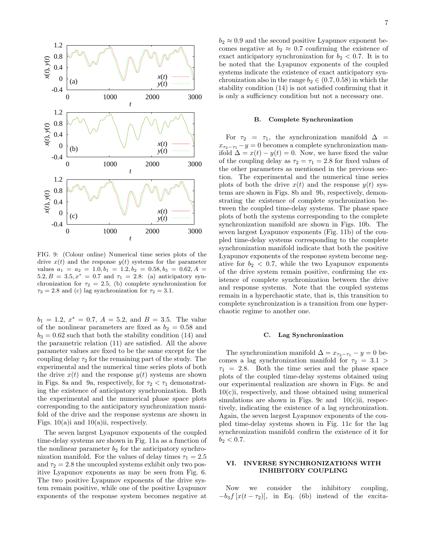

FIG. 9: (Colour online) Numerical time series plots of the drive  $x(t)$  and the response  $y(t)$  systems for the parameter values  $a_1 = a_2 = 1.0, b_1 = 1.2, b_2 = 0.58, b_3 = 0.62, A =$ 5.2,  $B = 3.5, x^* = 0.7$  and  $\tau_1 = 2.8$ : (a) anticipatory synchronization for  $\tau_2 = 2.5$ , (b) complete synchronization for  $\tau_2 = 2.8$  and (c) lag synchronization for  $\tau_2 = 3.1$ .

 $b_1 = 1.2, x^* = 0.7, A = 5.2, \text{ and } B = 3.5.$  The value of the nonlinear parameters are fixed as  $b_2 = 0.58$  and  $b_3 = 0.62$  such that both the stability condition (14) and the parametric relation (11) are satisfied. All the above parameter values are fixed to be the same except for the coupling delay  $\tau_2$  for the remaining part of the study. The experimental and the numerical time series plots of both the drive  $x(t)$  and the response  $y(t)$  systems are shown in Figs. 8a and 9a, respectively, for  $\tau_2 < \tau_1$  demonstrating the existence of anticipatory synchronization. Both the experimental and the numerical phase space plots corresponding to the anticipatory synchronization manifold of the drive and the response systems are shown in Figs.  $10(a)$  and  $10(a)$  ii, respectively.

The seven largest Lyapunov exponents of the coupled time-delay systems are shown in Fig. 11a as a function of the nonlinear parameter  $b_2$  for the anticipatory synchronization manifold. For the values of delay times  $\tau_1 = 2.5$ and  $\tau_2 = 2.8$  the uncoupled systems exhibit only two positive Lyapunov exponents as may be seen from Fig. 6. The two positive Lyapunov exponents of the drive system remain positive, while one of the positive Lyapunov exponents of the response system becomes negative at

 $b_2 \approx 0.9$  and the second positive Lyapunov exponent becomes negative at  $b_2 \approx 0.7$  confirming the existence of exact anticipatory synchronization for  $b_2 < 0.7$ . It is to be noted that the Lyapunov exponents of the coupled systems indicate the existence of exact anticipatory synchronization also in the range  $b_2 \in (0.7, 0.58)$  in which the stability condition (14) is not satisfied confirming that it is only a sufficiency condition but not a necessary one.

#### B. Complete Synchronization

For  $\tau_2 = \tau_1$ , the synchronization manifold  $\Delta$  $x_{\tau_2-\tau_1}-y=0$  becomes a complete synchronization manifold  $\Delta = x(t) - y(t) = 0$ . Now, we have fixed the value of the coupling delay as  $\tau_2 = \tau_1 = 2.8$  for fixed values of the other parameters as mentioned in the previous section. The experimental and the numerical time series plots of both the drive  $x(t)$  and the response  $y(t)$  systems are shown in Figs. 8b and 9b, respectively, demonstrating the existence of complete synchronization between the coupled time-delay systems. The phase space plots of both the systems corresponding to the complete synchronization manifold are shown in Figs. 10b. The seven largest Lyapunov exponents (Fig. 11b) of the coupled time-delay systems corresponding to the complete synchronization manifold indicate that both the positive Lyapunov exponents of the response system become negative for  $b_2 < 0.7$ , while the two Lyapunov exponents of the drive system remain positive, confirming the existence of complete synchronization between the drive and response systems. Note that the coupled systems remain in a hyperchaotic state, that is, this transition to complete synchronization is a transition from one hyperchaotic regime to another one.

#### C. Lag Synchronization

The synchronization manifold  $\Delta = x_{\tau_2-\tau_1} - y = 0$  becomes a lag synchronization manifold for  $\tau_2 = 3.1$  $\tau_1$  = 2.8. Both the time series and the phase space plots of the coupled time-delay systems obtained using our experimental realization are shown in Figs. 8c and 10(c)i, respectively, and those obtained using numerical simulations are shown in Figs. 9c and  $10(c)$ ii, respectively, indicating the existence of a lag synchronization. Again, the seven largest Lyapunov exponents of the coupled time-delay systems shown in Fig. 11c for the lag synchronization manifold confirm the existence of it for  $b_2 < 0.7$ .

# VI. INVERSE SYNCHRONIZATIONS WITH INHIBITORY COUPLING

Now we consider the inhibitory coupling,  $-b_3f[x(t - \tau_2)]$ , in Eq. (6b) instead of the excita-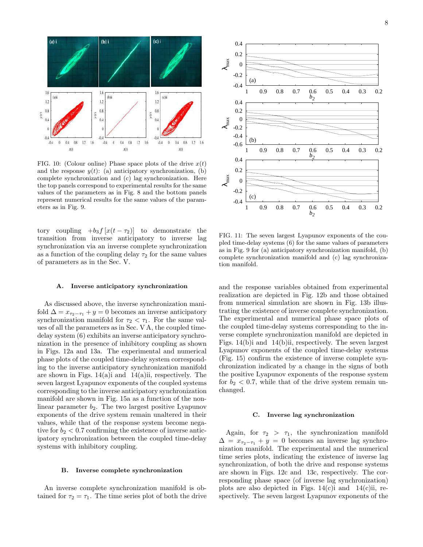

FIG. 10: (Colour online) Phase space plots of the drive  $x(t)$ and the response  $y(t)$ : (a) anticipatory synchronization, (b) complete synchronization and (c) lag synchronization. Here the top panels correspond to experimental results for the same values of the parameters as in Fig. 8 and the bottom panels represent numerical results for the same values of the parameters as in Fig. 9.

tory coupling  $+b_3f[x(t - \tau_2)]$  to demonstrate the transition from inverse anticipatory to inverse lag synchronization via an inverse complete synchronization as a function of the coupling delay  $\tau_2$  for the same values of parameters as in the Sec. V.

### A. Inverse anticipatory synchronization

As discussed above, the inverse synchronization manifold  $\Delta = x_{\tau_2-\tau_1} + y = 0$  becomes an inverse anticipatory synchronization manifold for  $\tau_2 < \tau_1$ . For the same values of all the parameters as in Sec. V A, the coupled timedelay system (6) exhibits an inverse anticipatory synchronization in the presence of inhibitory coupling as shown in Figs. 12a and 13a. The experimental and numerical phase plots of the coupled time-delay system corresponding to the inverse anticipatory synchronization manifold are shown in Figs.  $14(a)i$  and  $14(a)ii$ , respectively. The seven largest Lyapunov exponents of the coupled systems corresponding to the inverse anticipatory synchronization manifold are shown in Fig. 15a as a function of the nonlinear parameter  $b_2$ . The two largest positive Lyapunov exponents of the drive system remain unaltered in their values, while that of the response system become negative for  $b_2 < 0.7$  confirming the existence of inverse anticipatory synchronization between the coupled time-delay systems with inhibitory coupling.

### B. Inverse complete synchronization

An inverse complete synchronization manifold is obtained for  $\tau_2 = \tau_1$ . The time series plot of both the drive



FIG. 11: The seven largest Lyapunov exponents of the coupled time-delay systems (6) for the same values of parameters as in Fig. 9 for (a) anticipatory synchronization manifold, (b) complete synchronization manifold and (c) lag synchronization manifold.

and the response variables obtained from experimental realization are depicted in Fig. 12b and those obtained from numerical simulation are shown in Fig. 13b illustrating the existence of inverse complete synchronization. The experimental and numerical phase space plots of the coupled time-delay systems corresponding to the inverse complete synchronization manifold are depicted in Figs. 14(b)i and 14(b)ii, respectively. The seven largest Lyapunov exponents of the coupled time-delay systems (Fig. 15) confirm the existence of inverse complete synchronization indicated by a change in the signs of both the positive Lyapunov exponents of the response system for  $b_2 < 0.7$ , while that of the drive system remain unchanged.

#### C. Inverse lag synchronization

Again, for  $\tau_2 > \tau_1$ , the synchronization manifold  $\Delta = x_{\tau_2-\tau_1} + y = 0$  becomes an inverse lag synchronization manifold. The experimental and the numerical time series plots, indicating the existence of inverse lag synchronization, of both the drive and response systems are shown in Figs. 12c and 13c, respectively. The corresponding phase space (of inverse lag synchronization) plots are also depicted in Figs.  $14(c)$ i and  $14(c)$ ii, respectively. The seven largest Lyapunov exponents of the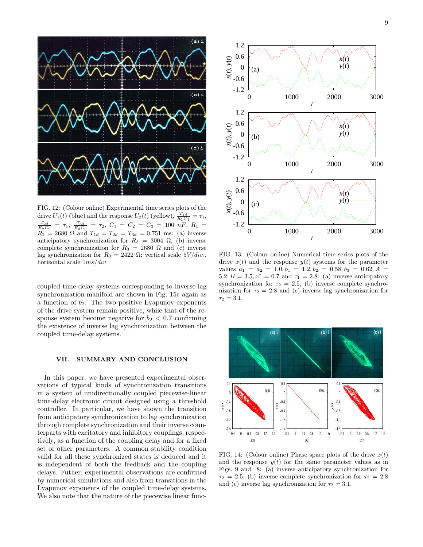

FIG. 12: (Colour online) Experimental time series plots of the drive  $U_1(t)$  (blue) and the response  $U_2(t)$  (yellow),  $\frac{T_{1d}}{R_1C_1} = \tau_1$ ,  $\frac{T_{2d}}{R_2C_2} = \tau_1$ ,  $\frac{T_{3d}}{R_3C_3} = \tau_2$ ,  $C_1 = C_2 = C_3 = 100 \; nF$ ,  $R_1 =$  $R_2 = 2680 \Omega$  and  $T_{1d} = T_{2d} = T_{3d} = 0.751$  ms: (a) inverse anticipatory synchronization for  $R_3 = 3004 \Omega$ , (b) inverse complete synchronization for  $R_3 = 2680 \Omega$  and (c) inverse lag synchronization for  $R_3 = 2422 \Omega$ ; vertical scale  $5V/div$ . horizontal scale 1ms/div

coupled time-delay systems corresponding to inverse lag synchronization manifold are shown in Fig. 15c again as a function of  $b_2$ . The two positive Lyapunov exponents of the drive system remain positive, while that of the response system become negative for  $b_2 < 0.7$  confirming the existence of inverse lag synchronization between the coupled time-delay systems.

# VII. SUMMARY AND CONCLUSION

In this paper, we have presented experimental observations of typical kinds of synchronization transitions in a system of unidirectionally coupled piecewise-linear time-delay electronic circuit designed using a threshold controller. In particular, we have shown the transition from anticipatory synchronization to lag synchronization through complete synchronization and their inverse counterparts with excitatory and inhibitory couplings, respectively, as a function of the coupling delay and for a fixed set of other parameters. A common stability condition valid for all these synchronized states is deduced and it is independent of both the feedback and the coupling delays. Futher, experimental observations are confirmed by numerical simulations and also from transitions in the Lyapunov exponents of the coupled time-delay systems. We also note that the nature of the piecewise linear func-



FIG. 13: (Colour online) Numerical time series plots of the drive  $x(t)$  and the response  $y(t)$  systems for the parameter values  $a_1 = a_2 = 1.0, b_1 = 1.2, b_2 = 0.58, b_3 = 0.62, A =$ 5.2,  $B = 3.5, x^* = 0.7$  and  $\tau_1 = 2.8$ : (a) inverse anticipatory synchronization for  $\tau_2 = 2.5$ , (b) inverse complete synchronization for  $\tau_2 = 2.8$  and (c) inverse lag synchronization for  $\tau_2 = 3.1.$ 



FIG. 14: (Colour online) Phase space plots of the drive  $x(t)$ and the response  $y(t)$  for the same parameter values as in Figs. 9 and 8: (a) inverse anticipatory synchronization for  $\tau_2 = 2.5$ , (b) inverse complete synchronization for  $\tau_2 = 2.8$ and (c) inverse lag synchronization for  $\tau_2 = 3.1$ .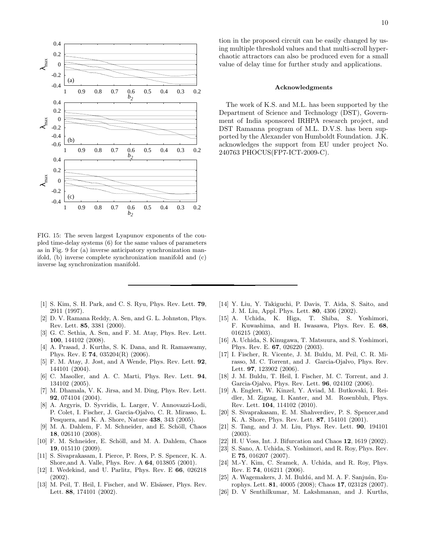

FIG. 15: The seven largest Lyapunov exponents of the coupled time-delay systems (6) for the same values of parameters as in Fig. 9 for (a) inverse anticipatory synchronization manifold, (b) inverse complete synchronization manifold and (c) inverse lag synchronization manifold.

- [1] S. Kim, S. H. Park, and C. S. Ryu, Phys. Rev. Lett. 79, 2911 (1997).
- [2] D. V. Ramana Reddy, A. Sen, and G. L. Johnston, Phys. Rev. Lett. 85, 3381 (2000).
- [3] G. C. Sethia, A. Sen, and F. M. Atay, Phys. Rev. Lett. 100, 144102 (2008).
- [4] A. Prasad, J. Kurths, S. K. Dana, and R. Ramaswamy, Phys. Rev. E 74, 035204(R) (2006).
- [5] F. M. Atay, J. Jost, and A Wende, Phys. Rev. Lett. 92, 144101 (2004).
- [6] C. Masoller, and A. C. Marti, Phys. Rev. Lett. 94, 134102 (2005).
- [7] M. Dhamala, V. K. Jirsa, and M. Ding, Phys. Rev. Lett. 92, 074104 (2004).
- [8] A. Argyris, D. Syvridis, L. Larger, V. Annovazzi-Lodi, P. Colet, I. Fischer, J. Garcia-Ojalvo, C. R. Mirasso, L. Pesquera, and K. A. Shore, Nature 438, 343 (2005).
- [9] M. A. Dahlem, F. M. Schneider, and E. Schöll, Chaos 18, 026110 (2008).
- [10] F. M. Schneider, E. Schöll, and M. A. Dahlem, Chaos 19, 015110 (2009).
- [11] S. Sivaprakasam, I. Pierce, P. Rees, P. S. Spencer, K. A. Shore,and A. Valle, Phys. Rev. A 64, 013805 (2001).
- [12] I. Wedekind, and U. Parlitz, Phys. Rev. E 66, 026218 (2002).
- [13] M. Peil, T. Heil, I. Fischer, and W. Elsässer, Phys. Rev. Lett. 88, 174101 (2002).

tion in the proposed circuit can be easily changed by using multiple threshold values and that multi-scroll hyperchaotic attractors can also be produced even for a small value of delay time for further study and applications.

#### Acknowledgments

The work of K.S. and M.L. has been supported by the Department of Science and Technology (DST), Government of India sponsored IRHPA research project, and DST Ramanna program of M.L. D.V.S. has been supported by the Alexander von Humboldt Foundation. J.K. acknowledges the support from EU under project No. 240763 PHOCUS(FP7-ICT-2009-C).

- [14] Y. Liu, Y. Takiguchi, P. Davis, T. Aida, S. Saito, and J. M. Liu, Appl. Phys. Lett. 80, 4306 (2002).
- [15] A. Uchida, K. Higa, T. Shiba, S. Yoshimori, F. Kuwashima, and H. Iwasawa, Phys. Rev. E. 68, 016215 (2003).
- [16] A. Uchida, S. Kinugawa, T. Matsuura, and S. Yoshimori, Phys. Rev. E. 67, 026220 (2003).
- [17] I. Fischer, R. Vicente, J. M. Buldu, M. Peil, C. R. Mirasso, M. C. Torrent, and J. Garcia-Ojalvo, Phys. Rev. Lett. 97, 123902 (2006).
- [18] J. M. Buldu, T. Heil, I. Fischer, M. C. Torrent, and J. Garcia-Ojalvo, Phys. Rev. Lett. 96, 024102 (2006).
- [19] A. Englert, W. Kinzel, Y. Aviad, M. Butkovski, I. Reidler, M. Zigzag, I. Kanter, and M. Rosenbluh, Phys. Rev. Lett. 104, 114102 (2010).
- [20] S. Sivaprakasam, E. M. Shahverdiev, P. S. Spencer,and K. A. Shore, Phys. Rev. Lett. 87, 154101 (2001).
- [21] S. Tang, and J. M. Liu, Phys. Rev. Lett. 90, 194101 (2003).
- [22] H. U Voss, Int. J. Bifurcation and Chaos 12, 1619 (2002).
- [23] S. Sano, A. Uchida, S. Yoshimori, and R. Roy, Phys. Rev. E 75, 016207 (2007).
- [24] M.-Y. Kim, C. Sramek, A. Uchida, and R. Roy, Phys. Rev. E 74, 016211 (2006).
- [25] A. Wagemakers, J. M. Buld $\acute{u}$ , and M. A. F. Sanjuán, Europhys. Lett. 81, 40005 (2008); Chaos 17, 023128 (2007).
- [26] D. V Senthilkumar, M. Lakshmanan, and J. Kurths,